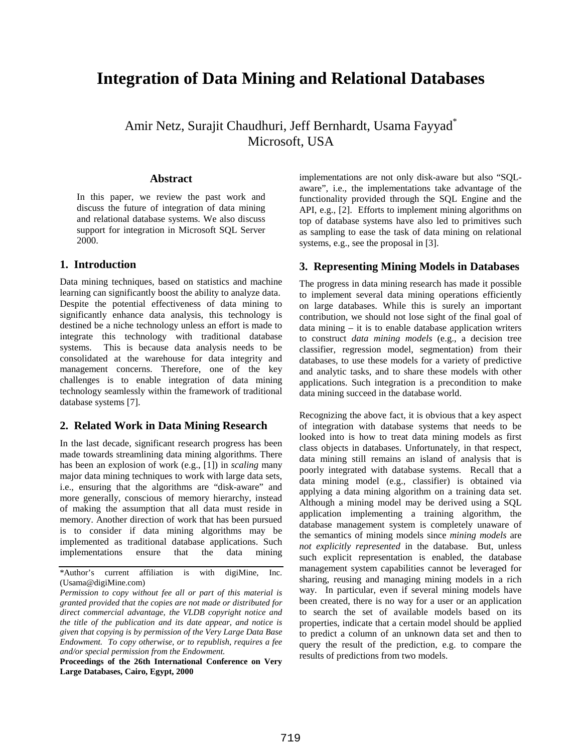# **Integration of Data Mining and Relational Databases**

Amir Netz, Surajit Chaudhuri, Jeff Bernhardt, Usama Fayyad\* Microsoft, USA

### **Abstract**

In this paper, we review the past work and discuss the future of integration of data mining and relational database systems. We also discuss support for integration in Microsoft SQL Server 2000.

#### **1. Introduction**

Data mining techniques, based on statistics and machine learning can significantly boost the ability to analyze data. Despite the potential effectiveness of data mining to significantly enhance data analysis, this technology is destined be a niche technology unless an effort is made to integrate this technology with traditional database systems. This is because data analysis needs to be consolidated at the warehouse for data integrity and management concerns. Therefore, one of the key challenges is to enable integration of data mining technology seamlessly within the framework of traditional database systems [7].

# **2. Related Work in Data Mining Research**

In the last decade, significant research progress has been made towards streamlining data mining algorithms. There has been an explosion of work (e.g., [1]) in *scaling* many major data mining techniques to work with large data sets, i.e., ensuring that the algorithms are "disk-aware" and more generally, conscious of memory hierarchy, instead of making the assumption that all data must reside in memory. Another direction of work that has been pursued is to consider if data mining algorithms may be implemented as traditional database applications. Such implementations ensure that the data mining

\*Author's current affiliation is with digiMine, Inc. (Usama@digiMine.com)

**Proceedings of the 26th International Conference on Very Large Databases, Cairo, Egypt, 2000**

implementations are not only disk-aware but also "SQLaware", i.e., the implementations take advantage of the functionality provided through the SQL Engine and the API, e.g., [2]. Efforts to implement mining algorithms on top of database systems have also led to primitives such as sampling to ease the task of data mining on relational systems, e.g., see the proposal in [3].

## **3. Representing Mining Models in Databases**

The progress in data mining research has made it possible to implement several data mining operations efficiently on large databases. While this is surely an important contribution, we should not lose sight of the final goal of data mining – it is to enable database application writers to construct *data mining models* (e.g., a decision tree classifier, regression model, segmentation) from their databases, to use these models for a variety of predictive and analytic tasks, and to share these models with other applications. Such integration is a precondition to make data mining succeed in the database world.

Recognizing the above fact, it is obvious that a key aspect of integration with database systems that needs to be looked into is how to treat data mining models as first class objects in databases. Unfortunately, in that respect, data mining still remains an island of analysis that is poorly integrated with database systems. Recall that a data mining model (e.g., classifier) is obtained via applying a data mining algorithm on a training data set. Although a mining model may be derived using a SQL application implementing a training algorithm, the database management system is completely unaware of the semantics of mining models since *mining models* are *not explicitly represented* in the database. But, unless such explicit representation is enabled, the database management system capabilities cannot be leveraged for sharing, reusing and managing mining models in a rich way. In particular, even if several mining models have been created, there is no way for a user or an application to search the set of available models based on its properties, indicate that a certain model should be applied to predict a column of an unknown data set and then to query the result of the prediction, e.g. to compare the results of predictions from two models.

*Permission to copy without fee all or part of this material is granted provided that the copies are not made or distributed for direct commercial advantage, the VLDB copyright notice and the title of the publication and its date appear, and notice is given that copying is by permission of the Very Large Data Base Endowment. To copy otherwise, or to republish, requires a fee and/or special permission from the Endowment.*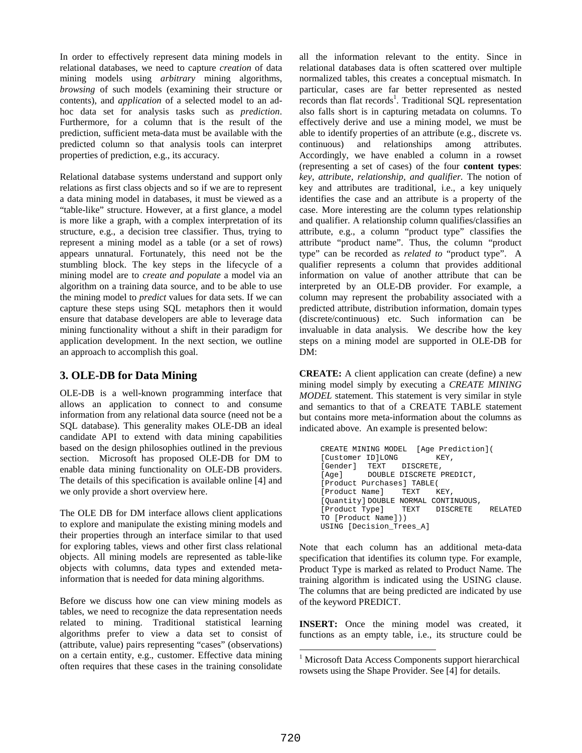In order to effectively represent data mining models in relational databases, we need to capture *creation* of data mining models using *arbitrary* mining algorithms, *browsing* of such models (examining their structure or contents), and *application* of a selected model to an adhoc data set for analysis tasks such as *prediction*. Furthermore, for a column that is the result of the prediction, sufficient meta-data must be available with the predicted column so that analysis tools can interpret properties of prediction, e.g., its accuracy.

Relational database systems understand and support only relations as first class objects and so if we are to represent a data mining model in databases, it must be viewed as a "table-like" structure. However, at a first glance, a model is more like a graph, with a complex interpretation of its structure, e.g., a decision tree classifier. Thus, trying to represent a mining model as a table (or a set of rows) appears unnatural. Fortunately, this need not be the stumbling block. The key steps in the lifecycle of a mining model are to *create and populate* a model via an algorithm on a training data source, and to be able to use the mining model to *predict* values for data sets. If we can capture these steps using SQL metaphors then it would ensure that database developers are able to leverage data mining functionality without a shift in their paradigm for application development. In the next section, we outline an approach to accomplish this goal.

# **3. OLE-DB for Data Mining**

OLE-DB is a well-known programming interface that allows an application to connect to and consume information from any relational data source (need not be a SQL database). This generality makes OLE-DB an ideal candidate API to extend with data mining capabilities based on the design philosophies outlined in the previous section. Microsoft has proposed OLE-DB for DM to enable data mining functionality on OLE-DB providers. The details of this specification is available online [4] and we only provide a short overview here.

The OLE DB for DM interface allows client applications to explore and manipulate the existing mining models and their properties through an interface similar to that used for exploring tables, views and other first class relational objects. All mining models are represented as table-like objects with columns, data types and extended metainformation that is needed for data mining algorithms.

Before we discuss how one can view mining models as tables, we need to recognize the data representation needs related to mining. Traditional statistical learning algorithms prefer to view a data set to consist of (attribute, value) pairs representing "cases" (observations) on a certain entity, e.g., customer. Effective data mining often requires that these cases in the training consolidate

all the information relevant to the entity. Since in relational databases data is often scattered over multiple normalized tables, this creates a conceptual mismatch. In particular, cases are far better represented as nested records than flat records<sup>1</sup>. Traditional SQL representation also falls short is in capturing metadata on columns. To effectively derive and use a mining model, we must be able to identify properties of an attribute (e.g., discrete vs. continuous) and relationships among attributes. Accordingly, we have enabled a column in a rowset (representing a set of cases) of the four **content types**: *key, attribute, relationship, and qualifier.* The notion of key and attributes are traditional, i.e., a key uniquely identifies the case and an attribute is a property of the case. More interesting are the column types relationship and qualifier. A relationship column qualifies/classifies an attribute, e.g., a column "product type" classifies the attribute "product name". Thus, the column "product type" can be recorded as *related to* "product type". A qualifier represents a column that provides additional information on value of another attribute that can be interpreted by an OLE-DB provider. For example, a column may represent the probability associated with a predicted attribute, distribution information, domain types (discrete/continuous) etc. Such information can be invaluable in data analysis. We describe how the key steps on a mining model are supported in OLE-DB for DM:

**CREATE:** A client application can create (define) a new mining model simply by executing a *CREATE MINING MODEL* statement. This statement is very similar in style and semantics to that of a CREATE TABLE statement but contains more meta-information about the columns as indicated above. An example is presented below:

```
CREATE MINING MODEL [Age Prediction](
[Customer ID]LONG KEY,
[Gender] TEXT DISCRETE,
[Age] DOUBLE DISCRETE PREDICT,
[Product Purchases] TABLE(
[Product Name] TEXT KEY,
[Quantity] DOUBLE NORMAL CONTINUOUS,
[Product Type] TEXT DISCRETE RELATED
TO [Product Name]))
USING [Decision_Trees_A]
```
Note that each column has an additional meta-data specification that identifies its column type. For example, Product Type is marked as related to Product Name. The training algorithm is indicated using the USING clause. The columns that are being predicted are indicated by use of the keyword PREDICT.

**INSERT:** Once the mining model was created, it functions as an empty table, i.e., its structure could be

<sup>&</sup>lt;sup>1</sup> Microsoft Data Access Components support hierarchical rowsets using the Shape Provider. See [4] for details.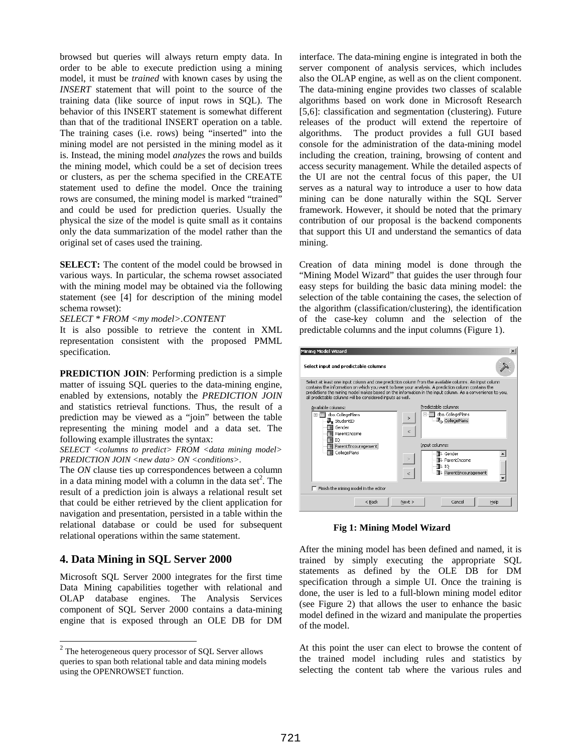browsed but queries will always return empty data. In order to be able to execute prediction using a mining model, it must be *trained* with known cases by using the *INSERT* statement that will point to the source of the training data (like source of input rows in SQL). The behavior of this INSERT statement is somewhat different than that of the traditional INSERT operation on a table. The training cases (i.e. rows) being "inserted" into the mining model are not persisted in the mining model as it is. Instead, the mining model *analyzes* the rows and builds the mining model, which could be a set of decision trees or clusters, as per the schema specified in the CREATE statement used to define the model. Once the training rows are consumed, the mining model is marked "trained" and could be used for prediction queries. Usually the physical the size of the model is quite small as it contains only the data summarization of the model rather than the original set of cases used the training.

**SELECT:** The content of the model could be browsed in various ways. In particular, the schema rowset associated with the mining model may be obtained via the following statement (see [4] for description of the mining model schema rowset):

*SELECT \* FROM <my model>.CONTENT*

It is also possible to retrieve the content in XML representation consistent with the proposed PMML specification.

**PREDICTION JOIN:** Performing prediction is a simple matter of issuing SQL queries to the data-mining engine, enabled by extensions, notably the *PREDICTION JOIN* and statistics retrieval functions. Thus, the result of a prediction may be viewed as a "join" between the table representing the mining model and a data set. The following example illustrates the syntax:

*SELECT <columns to predict> FROM <data mining model> PREDICTION JOIN <new data> ON <conditions>.*

The *ON* clause ties up correspondences between a column in a data mining model with a column in the data set<sup>2</sup>. The result of a prediction join is always a relational result set that could be either retrieved by the client application for navigation and presentation, persisted in a table within the relational database or could be used for subsequent relational operations within the same statement.

# **4. Data Mining in SQL Server 2000**

Microsoft SQL Server 2000 integrates for the first time Data Mining capabilities together with relational and OLAP database engines. The Analysis Services component of SQL Server 2000 contains a data-mining engine that is exposed through an OLE DB for DM interface. The data-mining engine is integrated in both the server component of analysis services, which includes also the OLAP engine, as well as on the client component. The data-mining engine provides two classes of scalable algorithms based on work done in Microsoft Research [5,6]: classification and segmentation (clustering). Future releases of the product will extend the repertoire of algorithms. The product provides a full GUI based console for the administration of the data-mining model including the creation, training, browsing of content and access security management. While the detailed aspects of the UI are not the central focus of this paper, the UI serves as a natural way to introduce a user to how data mining can be done naturally within the SQL Server framework. However, it should be noted that the primary contribution of our proposal is the backend components that support this UI and understand the semantics of data mining.

Creation of data mining model is done through the "Mining Model Wizard" that guides the user through four easy steps for building the basic data mining model: the selection of the table containing the cases, the selection of the algorithm (classification/clustering), the identification of the case-key column and the selection of the predictable columns and the input columns (Figure 1).



**Fig 1: Mining Model Wizard**

After the mining model has been defined and named, it is trained by simply executing the appropriate SQL statements as defined by the OLE DB for DM specification through a simple UI. Once the training is done, the user is led to a full-blown mining model editor (see Figure 2) that allows the user to enhance the basic model defined in the wizard and manipulate the properties of the model.

At this point the user can elect to browse the content of the trained model including rules and statistics by selecting the content tab where the various rules and

<sup>2</sup> The heterogeneous query processor of SQL Server allows queries to span both relational table and data mining models using the OPENROWSET function.